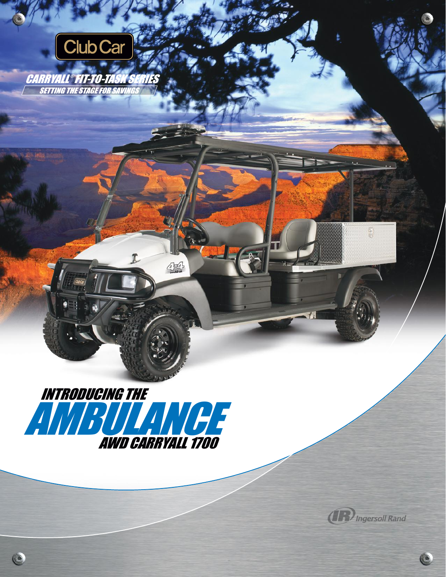

CARRYALL ® FIT-TO-TASK SERIES



 $\circledcirc$ 

454



C

T